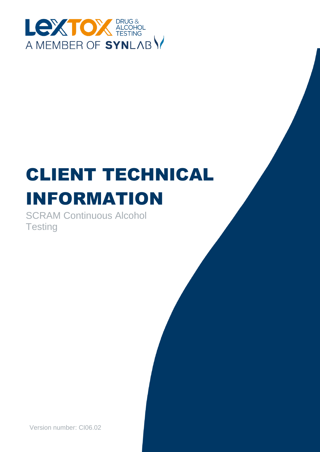

# CLIENT TECHNICAL INFORMATION

SCRAM Continuous Alcohol **Testing** 

Version number: CI06.02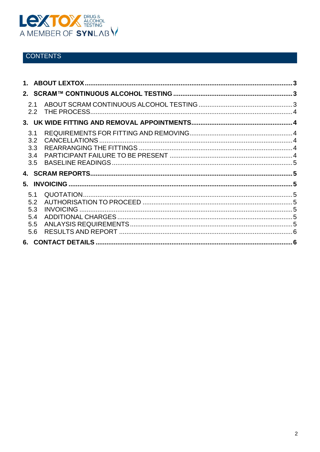

## **CONTENTS**

| 2.1<br>2.2        |  |
|-------------------|--|
|                   |  |
| 3.1<br>3.2<br>3.3 |  |
| 3.4<br>3.5        |  |
|                   |  |
|                   |  |
| 5.1<br>5.2<br>5.3 |  |
| 5.4<br>5.5<br>5.6 |  |
|                   |  |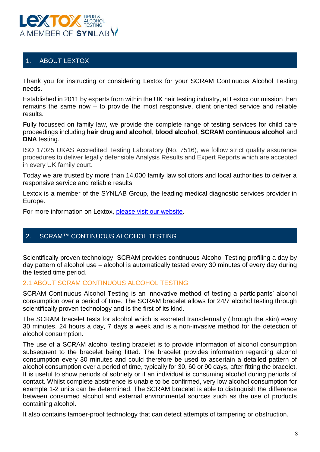

## <span id="page-2-0"></span>1. ABOUT LEXTOX

Thank you for instructing or considering Lextox for your SCRAM Continuous Alcohol Testing needs.

Established in 2011 by experts from within the UK hair testing industry, at Lextox our mission then remains the same now – to provide the most responsive, client oriented service and reliable results.

Fully focussed on family law, we provide the complete range of testing services for child care proceedings including **hair drug and alcohol**, **blood alcohol**, **SCRAM continuous alcohol** and **DNA** testing.

ISO 17025 UKAS Accredited Testing Laboratory (No. 7516), we follow strict quality assurance procedures to deliver legally defensible Analysis Results and Expert Reports which are accepted in every UK family court.

Today we are trusted by more than 14,000 family law solicitors and local authorities to deliver a responsive service and reliable results.

Lextox is a member of the SYNLAB Group, the leading medical diagnostic services provider in Europe.

For more information on Lextox, [please visit our website.](https://lextox.co.uk/)

## <span id="page-2-1"></span>2. SCRAM™ CONTINUOUS ALCOHOL TESTING

Scientifically proven technology, SCRAM provides continuous Alcohol Testing profiling a day by day pattern of alcohol use – alcohol is automatically tested every 30 minutes of every day during the tested time period.

#### <span id="page-2-2"></span>2.1 ABOUT SCRAM CONTINUOUS ALCOHOL TESTING

SCRAM Continuous Alcohol Testing is an innovative method of testing a participants' alcohol consumption over a period of time. The SCRAM bracelet allows for 24/7 alcohol testing through scientifically proven technology and is the first of its kind.

The SCRAM bracelet tests for alcohol which is excreted transdermally (through the skin) every 30 minutes, 24 hours a day, 7 days a week and is a non-invasive method for the detection of alcohol consumption.

The use of a SCRAM alcohol testing bracelet is to provide information of alcohol consumption subsequent to the bracelet being fitted. The bracelet provides information regarding alcohol consumption every 30 minutes and could therefore be used to ascertain a detailed pattern of alcohol consumption over a period of time, typically for 30, 60 or 90 days, after fitting the bracelet. It is useful to show periods of sobriety or if an individual is consuming alcohol during periods of contact. Whilst complete abstinence is unable to be confirmed, very low alcohol consumption for example 1-2 units can be determined. The SCRAM bracelet is able to distinguish the difference between consumed alcohol and external environmental sources such as the use of products containing alcohol.

It also contains tamper-proof technology that can detect attempts of tampering or obstruction.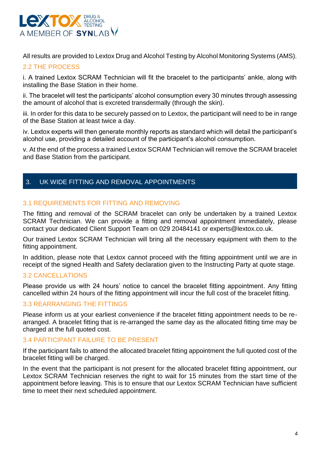

All results are provided to Lextox Drug and Alcohol Testing by Alcohol Monitoring Systems (AMS).

## <span id="page-3-0"></span>2.2 THE PROCESS

i. A trained Lextox SCRAM Technician will fit the bracelet to the participants' ankle, along with installing the Base Station in their home.

ii. The bracelet will test the participants' alcohol consumption every 30 minutes through assessing the amount of alcohol that is excreted transdermally (through the skin).

iii. In order for this data to be securely passed on to Lextox, the participant will need to be in range of the Base Station at least twice a day.

iv. Lextox experts will then generate monthly reports as standard which will detail the participant's alcohol use, providing a detailed account of the participant's alcohol consumption.

v. At the end of the process a trained Lextox SCRAM Technician will remove the SCRAM bracelet and Base Station from the participant.

## <span id="page-3-1"></span>3. UK WIDE FITTING AND REMOVAL APPOINTMENTS

#### <span id="page-3-2"></span>3.1 REQUIREMENTS FOR FITTING AND REMOVING

The fitting and removal of the SCRAM bracelet can only be undertaken by a trained Lextox SCRAM Technician. We can provide a fitting and removal appointment immediately, please contact your dedicated Client Support Team on 029 20484141 or experts@lextox.co.uk.

Our trained Lextox SCRAM Technician will bring all the necessary equipment with them to the fitting appointment.

In addition, please note that Lextox cannot proceed with the fitting appointment until we are in receipt of the signed Health and Safety declaration given to the Instructing Party at quote stage.

#### <span id="page-3-3"></span>3.2 CANCELLATIONS

Please provide us with 24 hours' notice to cancel the bracelet fitting appointment. Any fitting cancelled within 24 hours of the fitting appointment will incur the full cost of the bracelet fitting.

#### <span id="page-3-4"></span>3.3 REARRANGING THE FITTINGS

Please inform us at your earliest convenience if the bracelet fitting appointment needs to be rearranged. A bracelet fitting that is re-arranged the same day as the allocated fitting time may be charged at the full quoted cost.

#### <span id="page-3-5"></span>3.4 PARTICIPANT FAILURE TO BE PRESENT

If the participant fails to attend the allocated bracelet fitting appointment the full quoted cost of the bracelet fitting will be charged.

In the event that the participant is not present for the allocated bracelet fitting appointment, our Lextox SCRAM Technician reserves the right to wait for 15 minutes from the start time of the appointment before leaving. This is to ensure that our Lextox SCRAM Technician have sufficient time to meet their next scheduled appointment.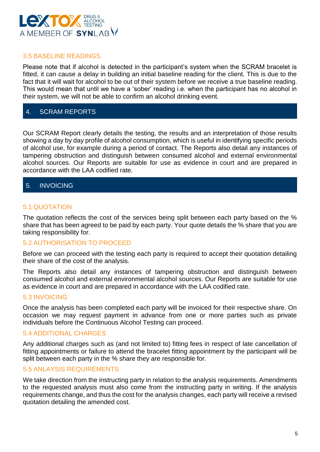

#### <span id="page-4-0"></span>3.5 BASELINE READINGS

Please note that if alcohol is detected in the participant's system when the SCRAM bracelet is fitted, it can cause a delay in building an initial baseline reading for the client. This is due to the fact that it will wait for alcohol to be out of their system before we receive a true baseline reading. This would mean that until we have a 'sober' reading i.e. when the participant has no alcohol in their system, we will not be able to confirm an alcohol drinking event.

## <span id="page-4-1"></span>4. SCRAM REPORTS

Our SCRAM Report clearly details the testing, the results and an interpretation of those results showing a day by day profile of alcohol consumption, which is useful in identifying specific periods of alcohol use, for example during a period of contact. The Reports also detail any instances of tampering obstruction and distinguish between consumed alcohol and external environmental alcohol sources. Our Reports are suitable for use as evidence in court and are prepared in accordance with the LAA codified rate.

#### <span id="page-4-2"></span>5. INVOICING

## <span id="page-4-3"></span>5.1 QUOTATION

The quotation reflects the cost of the services being split between each party based on the % share that has been agreed to be paid by each party. Your quote details the % share that you are taking responsibility for.

#### <span id="page-4-4"></span>5.2 AUTHORISATION TO PROCEED

Before we can proceed with the testing each party is required to accept their quotation detailing their share of the cost of the analysis.

The Reports also detail any instances of tampering obstruction and distinguish between consumed alcohol and external environmental alcohol sources. Our Reports are suitable for use as evidence in court and are prepared in accordance with the LAA codified rate.

#### <span id="page-4-5"></span>5.3 INVOICING

Once the analysis has been completed each party will be invoiced for their respective share. On occasion we may request payment in advance from one or more parties such as private individuals before the Continuous Alcohol Testing can proceed.

#### <span id="page-4-6"></span>5.4 ADDITIONAL CHARGES

Any additional charges such as (and not limited to) fitting fees in respect of late cancellation of fitting appointments or failure to attend the bracelet fitting appointment by the participant will be split between each party in the % share they are responsible for.

#### <span id="page-4-7"></span>5.5 ANLAYSIS REQUIREMENTS

We take direction from the instructing party in relation to the analysis requirements. Amendments to the requested analysis must also come from the instructing party in writing. If the analysis requirements change, and thus the cost for the analysis changes, each party will receive a revised quotation detailing the amended cost.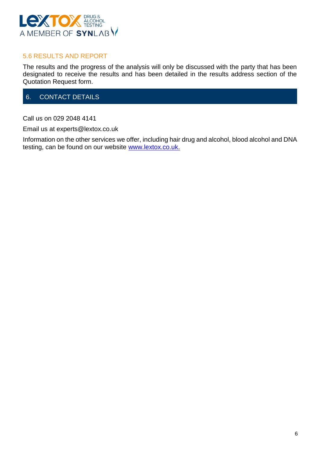

#### <span id="page-5-0"></span>5.6 RESULTS AND REPORT

The results and the progress of the analysis will only be discussed with the party that has been designated to receive the results and has been detailed in the results address section of the Quotation Request form.

## <span id="page-5-1"></span>6. CONTACT DETAILS

Call us on 029 2048 4141

Email us at experts@lextox.co.uk

Information on the other services we offer, including hair drug and alcohol, blood alcohol and DNA testing, can be found on our website [www.lextox.co.uk.](http://www.lextox.co.uk/)